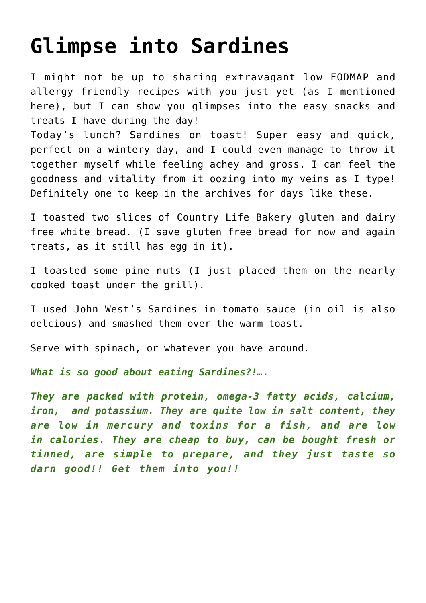## **[Glimpse into Sardines](https://www.glimpsinggembles.com/2013/05/17/glimpse-into-sardines/)**

I might not be up to sharing extravagant low FODMAP and allergy friendly recipes with you just yet (as I mentioned [here\)](http://glimpsing-gembles.blogspot.com.au/2013/05/glimpse-into-future-recipes.html), but I can show you glimpses into the easy snacks and treats I have during the day!

Today's lunch? Sardines on toast! Super easy and quick, perfect on a wintery day, and I could even manage to throw it together myself while feeling achey and gross. I can feel the goodness and vitality from it oozing into my veins as I type! Definitely one to keep in the archives for days like these.

I toasted two slices of Country Life Bakery gluten and dairy free white bread. (I save gluten free bread for now and again treats, as it still has egg in it).

I toasted some pine nuts (I just placed them on the nearly cooked toast under the grill).

I used John West's Sardines in tomato sauce (in oil is also delcious) and smashed them over the warm toast.

Serve with spinach, or whatever you have around.

*What is so good about eating Sardines?!….*

*They are packed with protein, omega-3 fatty acids, calcium, iron, and potassium. They are quite low in salt content, they are low in mercury and toxins for a fish, and are low in calories. They are cheap to buy, can be bought fresh or tinned, are simple to prepare, and they just taste so darn good!! Get them into you!!*